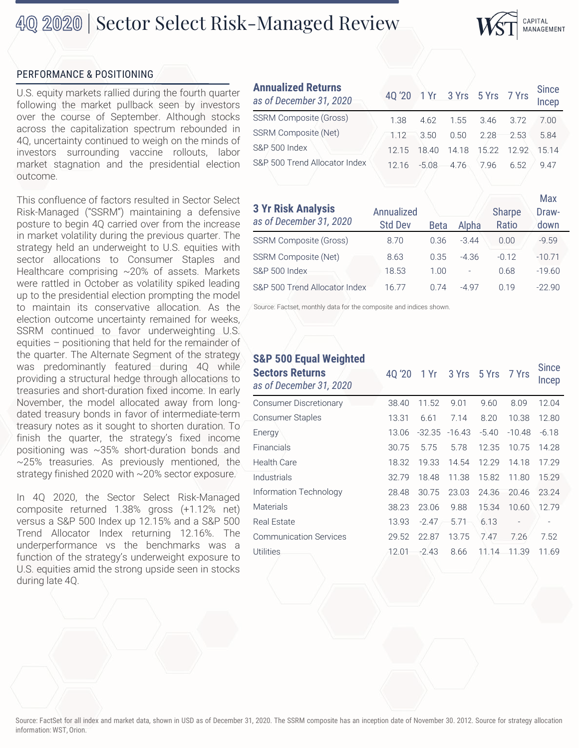## 40 2020 | Sector Select Risk-Managed Review



## PERFORMANCE & POSITIONING

U.S. equity markets rallied during the fourth quarter following the market pullback seen by investors over the course of September. Although stocks across the capitalization spectrum rebounded in 4Q, uncertainty continued to weigh on the minds of investors surrounding vaccine rollouts, labor market stagnation and the presidential election outcome.

This confluence of factors resulted in Sector Select Risk-Managed ("SSRM") maintaining a defensive posture to begin 4Q carried over from the increase in market volatility during the previous quarter. The strategy held an underweight to U.S. equities with sector allocations to Consumer Staples and Healthcare comprising ~20% of assets. Markets were rattled in October as volatility spiked leading up to the presidential election prompting the model to maintain its conservative allocation. As the election outcome uncertainty remained for weeks, SSRM continued to favor underweighting U.S. equities – positioning that held for the remainder of the quarter. The Alternate Segment of the strategy was predominantly featured during 4Q while providing a structural hedge through allocations to treasuries and short-duration fixed income. In early November, the model allocated away from longdated treasury bonds in favor of intermediate-term treasury notes as it sought to shorten duration. To finish the quarter, the strategy's fixed income positioning was ~35% short-duration bonds and ~25% treasuries. As previously mentioned, the strategy finished 2020 with ~20% sector exposure.

In 4Q 2020, the Sector Select Risk-Managed composite returned 1.38% gross (+1.12% net) versus a S&P 500 Index up 12.15% and a S&P 500 Trend Allocator Index returning 12.16%. The underperformance vs the benchmarks was a function of the strategy's underweight exposure to U.S. equities amid the strong upside seen in stocks during late 4Q.

### **Annualized Returns**

| Annualized Returns<br>as of December 31, 2020 | 4Q'20 1 Yr 3 Yrs 5 Yrs 7 Yrs Since |                                          |  |      |
|-----------------------------------------------|------------------------------------|------------------------------------------|--|------|
| <b>SSRM Composite (Gross)</b>                 |                                    | 1.38  4.62  1.55  3.46  3.72  7.00       |  |      |
| <b>SSRM Composite (Net)</b>                   |                                    | 1.12 3.50 0.50 2.28 2.53                 |  | 5.84 |
| S&P 500 Index                                 |                                    | 12.15  18.40  14.18  15.22  12.92  15.14 |  |      |
| S&P 500 Trend Allocator Index                 |                                    | 12.16 -5.08 4.76 7.96 6.52 9.47          |  |      |

| <b>3 Yr Risk Analysis</b>     | Annualized     |             |                | <b>Sharpe</b> | Max<br>Draw- |
|-------------------------------|----------------|-------------|----------------|---------------|--------------|
| as of December 31, 2020       | <b>Std Dev</b> | <b>Beta</b> | Alpha          | Ratio         | down         |
| <b>SSRM Composite (Gross)</b> | 8.70           | 0.36        | $-344$         | 0.00          | $-9.59$      |
| <b>SSRM Composite (Net)</b>   | 8.63           | 0.35        | $-4.36$        | $-0.12$       | $-10.71$     |
| <b>S&amp;P 500 Index</b>      | 18.53          | 1.00        | $\overline{a}$ | 0.68          | $-19.60$     |
| S&P 500 Trend Allocator Index | 16.77          | 0.74        | -4 97          | 0.19          | $-2290$      |

Source: Factset, monthly data for the composite and indices shown.

## **S&P 500 Equal Weighted**

| <b>Sectors Returns</b><br>as of December 31, 2020 | 40 '20 | 1 Yr     | 3 Yrs    | 5 Yrs   | 7 Yrs          | <b>Since</b><br><b>Incep</b> |
|---------------------------------------------------|--------|----------|----------|---------|----------------|------------------------------|
| <b>Consumer Discretionary</b>                     | 38.40  | 11.52    | 9.01     | 9.60    | 8.09           | 12.04                        |
| <b>Consumer Staples</b>                           | 13.31  | 6.61     | 7.14     | 8.20    | 10.38          | 12.80                        |
| Energy                                            | 13.06  | $-32.35$ | $-16.43$ | $-5.40$ | $-10.48$       | $-6.18$                      |
| Financials                                        | 30.75  | 5.75     | 5.78     | 12.35   | 10.75          | 14.28                        |
| <b>Health Care</b>                                | 18.32  | 19.33    | 14.54    | 12.29   | 14.18          | 17.29                        |
| Industrials                                       | 32.79  | 18.48    | 11.38    | 15.82   | 11.80          | 15.29                        |
| Information Technology                            | 28.48  | 30.75    | 23.03    | 24.36   | 20.46          | 23.24                        |
| <b>Materials</b>                                  | 38.23  | 23.06    | 9.88     | 15.34   | 10.60          | 12.79                        |
| <b>Real Estate</b>                                | 13.93  | $-2.47$  | 5.71     | 6.13    | $\overline{a}$ |                              |
| <b>Communication Services</b>                     | 29.52  | 22.87    | 13.75    | 7.47    | 7.26           | 7.52                         |
| Utilities                                         | 12.01  | $-2.43$  | 8.66     | 11.14   | 11.39          | 11.69                        |
|                                                   |        |          |          |         |                |                              |

Source: FactSet for all index and market data, shown in USD as of December 31, 2020. The SSRM composite has an inception date of November 30. 2012. Source for strategy allocation information: WST, Orion.